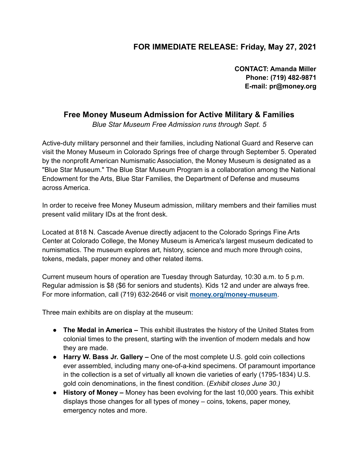## **FOR IMMEDIATE RELEASE: Friday, May 27, 2021**

**CONTACT: Amanda Miller Phone: (719) 482-9871 E-mail: pr@money.org**

## **Free Money Museum Admission for Active Military & Families**

*Blue Star Museum Free Admission runs through Sept. 5*

Active-duty military personnel and their families, including National Guard and Reserve can visit the Money Museum in Colorado Springs free of charge through September 5. Operated by the nonprofit American Numismatic Association, the Money Museum is designated as a "Blue Star Museum." The Blue Star Museum Program is a collaboration among the National Endowment for the Arts, Blue Star Families, the Department of Defense and museums across America.

In order to receive free Money Museum admission, military members and their families must present valid military IDs at the front desk.

Located at 818 N. Cascade Avenue directly adjacent to the Colorado Springs Fine Arts Center at Colorado College, the Money Museum is America's largest museum dedicated to numismatics. The museum explores art, history, science and much more through coins, tokens, medals, paper money and other related items.

Current museum hours of operation are Tuesday through Saturday, 10:30 a.m. to 5 p.m. Regular admission is \$8 (\$6 for seniors and students). Kids 12 and under are always free. For more information, call (719) 632-2646 or visit **[money.org/money-museum](http://www.money.org/money-museum?utm_source=hs_email&utm_medium=email&_hsenc=p2ANqtz-9-wbcVBraOASLhsQ0nP2FGAx8R2PUzQEBgsdNHdAElWceP6nPrjR8fZ1I8M85ZrH0lB5tJ)**.

Three main exhibits are on display at the museum:

- **The Medal in America –** This exhibit illustrates the history of the United States from colonial times to the present, starting with the invention of modern medals and how they are made.
- **Harry W. Bass Jr. Gallery –** One of the most complete U.S. gold coin collections ever assembled, including many one-of-a-kind specimens. Of paramount importance in the collection is a set of virtually all known die varieties of early (1795-1834) U.S. gold coin denominations, in the finest condition. (*Exhibit closes June 30.)*
- **History of Money –** Money has been evolving for the last 10,000 years. This exhibit displays those changes for all types of money – coins, tokens, paper money, emergency notes and more.